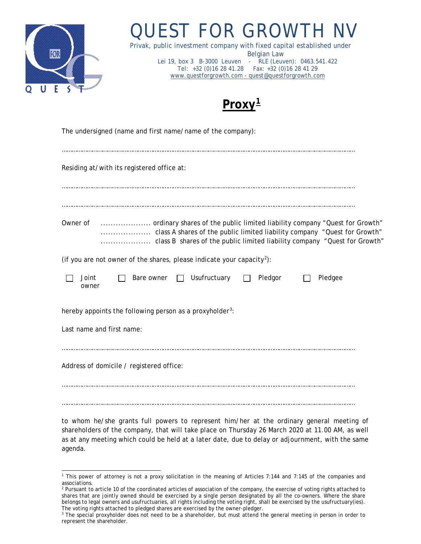

# QUEST FOR GROWTH

Privak, public investment company with fixed capital established under Belgian Law Lei 19, box 3 B-3000 Leuven - RLE (Leuven): 0463.541.422 Tel: +32 (0)16 28 41.28 Fax: +32 (0)16 28 41 29 [www.questforgrowth.com](http://www.questforgrowth.com/) - [quest@questforgrowth.com](mailto:quest@questforgrowth.com)



| The undersigned (name and first name/name of the company):                         |  |  |
|------------------------------------------------------------------------------------|--|--|
| Residing at/with its registered office at:                                         |  |  |
| Owner of                                                                           |  |  |
| (if you are not owner of the shares, please indicate your capacity <sup>2</sup> ): |  |  |
| Usufructuary<br>Bare owner<br>Pledgor<br>Joint<br>Pledgee<br>$\mathbf{1}$<br>owner |  |  |
| hereby appoints the following person as a proxyholder <sup>3</sup> :               |  |  |
| Last name and first name:                                                          |  |  |
| Address of domicile / registered office:                                           |  |  |
|                                                                                    |  |  |

to whom he/she grants full powers to represent him/her at the ordinary general meeting of shareholders of the company, that will take place on Thursday 26 March 2020 at 11.00 AM, as well as at any meeting which could be held at a later date, due to delay or adjournment, with the same agenda.

<span id="page-0-0"></span><sup>1</sup> This power of attorney is not a proxy solicitation in the meaning of Articles 7:144 and 7:145 of the companies and associations.

<span id="page-0-1"></span><sup>&</sup>lt;sup>2</sup> Pursuant to article 10 of the coordinated articles of association of the company, the exercise of voting rights attached to shares that are jointly owned should be exercised by a single person designated by all the co-owners. Where the share belongs to legal owners and usufructuaries, all rights including the voting right, shall be exercised by the usufructuary(ies). The voting rights attached to pledged shares are exercised by the owner-pledger.

<span id="page-0-2"></span><sup>&</sup>lt;sup>3</sup> The special proxyholder does not need to be a shareholder, but must attend the general meeting in person in order to represent the shareholder.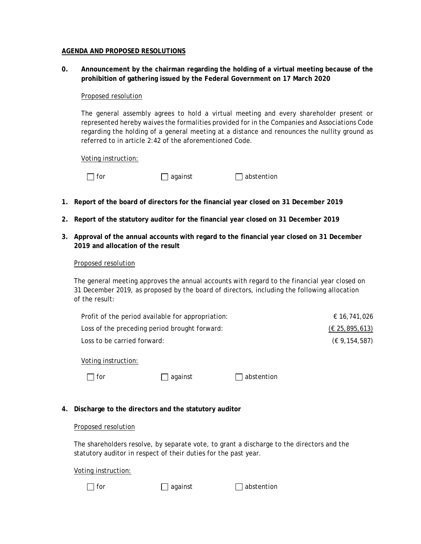## **AGENDA AND PROPOSED RESOLUTIONS**

**0. Announcement by the chairman regarding the holding of a virtual meeting because of the prohibition of gathering issued by the Federal Government on 17 March 2020**

# Proposed resolution

The general assembly agrees to hold a virtual meeting and every shareholder present or represented hereby waives the formalities provided for in the Companies and Associations Code regarding the holding of a general meeting at a distance and renounces the nullity ground as referred to in article 2:42 of the aforementioned Code.

Voting instruction:

| for | $\Box$ against | $\Box$ abstention |
|-----|----------------|-------------------|
|-----|----------------|-------------------|

- **1. Report of the board of directors for the financial year closed on 31 December 2019**
- **2. Report of the statutory auditor for the financial year closed on 31 December 2019**
- **3. Approval of the annual accounts with regard to the financial year closed on 31 December 2019 and allocation of the result**

## Proposed resolution

The general meeting approves the annual accounts with regard to the financial year closed on 31 December 2019, as proposed by the board of directors, including the following allocation of the result:

| Profit of the period available for appropriation: | € 16.741.026     |
|---------------------------------------------------|------------------|
| Loss of the preceding period brought forward:     | (E 25, 895, 613) |
| Loss to be carried forward:                       | (€ 9,154,587)    |

Voting instruction:

| ۰.<br>× |
|---------|
|         |

 $\Box$  against  $\Box$  abstention

# **4. Discharge to the directors and the statutory auditor**

#### Proposed resolution

The shareholders resolve, by separate vote, to grant a discharge to the directors and the statutory auditor in respect of their duties for the past year.

Voting instruction:

for against abstention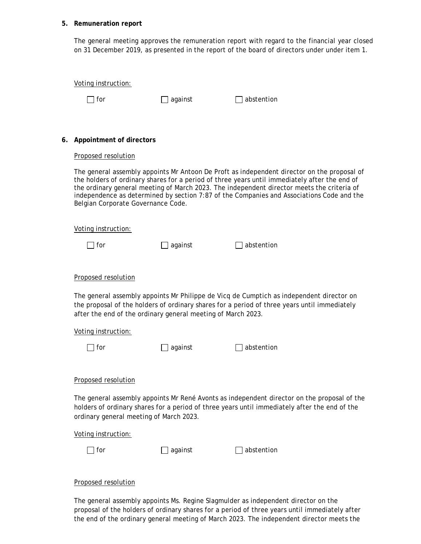#### **5. Remuneration report**

The general meeting approves the remuneration report with regard to the financial year closed on 31 December 2019, as presented in the report of the board of directors under under item 1.

|    | Voting instruction:                                          |           |                                                                                                                                                                                                                                                                                                                                                                                         |
|----|--------------------------------------------------------------|-----------|-----------------------------------------------------------------------------------------------------------------------------------------------------------------------------------------------------------------------------------------------------------------------------------------------------------------------------------------------------------------------------------------|
|    | for                                                          | ] against | abstention                                                                                                                                                                                                                                                                                                                                                                              |
|    |                                                              |           |                                                                                                                                                                                                                                                                                                                                                                                         |
|    |                                                              |           |                                                                                                                                                                                                                                                                                                                                                                                         |
| 6. | Appointment of directors                                     |           |                                                                                                                                                                                                                                                                                                                                                                                         |
|    | Proposed resolution                                          |           |                                                                                                                                                                                                                                                                                                                                                                                         |
|    | Belgian Corporate Governance Code.                           |           | The general assembly appoints Mr Antoon De Proft as independent director on the proposal of<br>the holders of ordinary shares for a period of three years until immediately after the end of<br>the ordinary general meeting of March 2023. The independent director meets the criteria of<br>independence as determined by section 7:87 of the Companies and Associations Code and the |
|    | Voting instruction:                                          |           |                                                                                                                                                                                                                                                                                                                                                                                         |
|    | for                                                          | against   | abstention                                                                                                                                                                                                                                                                                                                                                                              |
|    |                                                              |           |                                                                                                                                                                                                                                                                                                                                                                                         |
|    | Proposed resolution                                          |           |                                                                                                                                                                                                                                                                                                                                                                                         |
|    | after the end of the ordinary general meeting of March 2023. |           | The general assembly appoints Mr Philippe de Vicq de Cumptich as independent director on<br>the proposal of the holders of ordinary shares for a period of three years until immediately                                                                                                                                                                                                |
|    | Voting instruction:                                          |           |                                                                                                                                                                                                                                                                                                                                                                                         |
|    | for                                                          | against   | abstention                                                                                                                                                                                                                                                                                                                                                                              |
|    |                                                              |           |                                                                                                                                                                                                                                                                                                                                                                                         |
|    | Proposed resolution                                          |           |                                                                                                                                                                                                                                                                                                                                                                                         |
|    | ordinary general meeting of March 2023.                      |           | The general assembly appoints Mr René Avonts as independent director on the proposal of the<br>holders of ordinary shares for a period of three years until immediately after the end of the                                                                                                                                                                                            |
|    | Voting instruction:                                          |           |                                                                                                                                                                                                                                                                                                                                                                                         |
|    | ] for                                                        | against   | abstention                                                                                                                                                                                                                                                                                                                                                                              |
|    |                                                              |           |                                                                                                                                                                                                                                                                                                                                                                                         |
|    | Proposed resolution                                          |           |                                                                                                                                                                                                                                                                                                                                                                                         |
|    |                                                              |           |                                                                                                                                                                                                                                                                                                                                                                                         |

The general assembly appoints Ms. Regine Slagmulder as independent director on the proposal of the holders of ordinary shares for a period of three years until immediately after the end of the ordinary general meeting of March 2023. The independent director meets the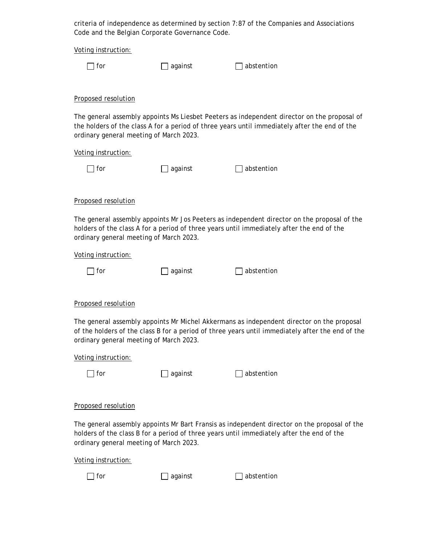criteria of independence as determined by section 7:87 of the Companies and Associations Code and the Belgian Corporate Governance Code.

Voting instruction:

| ۰.<br>× |  |
|---------|--|
|---------|--|

 $\Box$  against  $\Box$  abstention

Proposed resolution

The general assembly appoints Ms Liesbet Peeters as independent director on the proposal of the holders of the class A for a period of three years until immediately after the end of the ordinary general meeting of March 2023.

Voting instruction:

| $\Box$ for | $\Box$ against | $\Box$ abstention |
|------------|----------------|-------------------|
|            |                |                   |

Proposed resolution

The general assembly appoints Mr Jos Peeters as independent director on the proposal of the holders of the class A for a period of three years until immediately after the end of the ordinary general meeting of March 2023.

Voting instruction:

| against |
|---------|

□ for against abstention

Proposed resolution

The general assembly appoints Mr Michel Akkermans as independent director on the proposal of the holders of the class B for a period of three years until immediately after the end of the ordinary general meeting of March 2023.

Voting instruction:

 $\Box$  for  $\Box$  against  $\Box$  abstention

Proposed resolution

The general assembly appoints Mr Bart Fransis as independent director on the proposal of the holders of the class B for a period of three years until immediately after the end of the ordinary general meeting of March 2023.

Voting instruction:

 $\Box$  for  $\Box$  against  $\Box$  abstention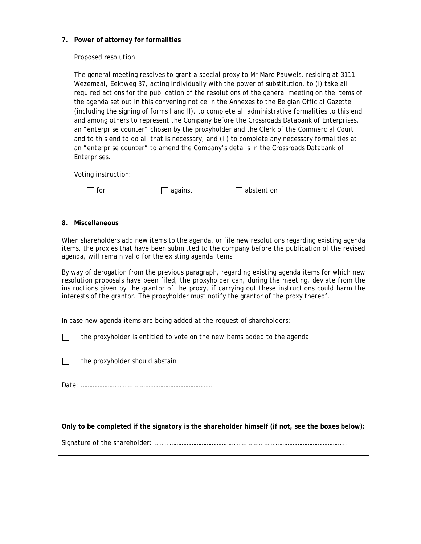# **7. Power of attorney for formalities**

## Proposed resolution

The general meeting resolves to grant a special proxy to Mr Marc Pauwels, residing at 3111 Wezemaal, Eektweg 37, acting individually with the power of substitution, to (i) take all required actions for the publication of the resolutions of the general meeting on the items of the agenda set out in this convening notice in the Annexes to the Belgian Official Gazette (including the signing of forms I and II), to complete all administrative formalities to this end and among others to represent the Company before the Crossroads Databank of Enterprises, an "enterprise counter" chosen by the proxyholder and the Clerk of the Commercial Court and to this end to do all that is necessary, and (ii) to complete any necessary formalities at an "enterprise counter" to amend the Company's details in the Crossroads Databank of Enterprises.

Voting instruction:



 $\Box$  for  $\Box$  against  $\Box$  abstention

## **8. Miscellaneous**

When shareholders add new items to the agenda, or file new resolutions regarding existing agenda items, the proxies that have been submitted to the company before the publication of the revised agenda, will remain valid for the existing agenda items.

By way of derogation from the previous paragraph, regarding existing agenda items for which new resolution proposals have been filed, the proxyholder can, during the meeting, deviate from the instructions given by the grantor of the proxy, if carrying out these instructions could harm the interests of the grantor. The proxyholder must notify the grantor of the proxy thereof.

In case new agenda items are being added at the request of shareholders:

 $\Box$ the proxyholder is entitled to vote on the new items added to the agenda

 $\Box$ the proxyholder should abstain

Date: ……………………………………………………………………

**Only to be completed if the signatory is the shareholder himself (if not, see the boxes below):**

Signature of the shareholder: …………………………………………………………………………………………………….